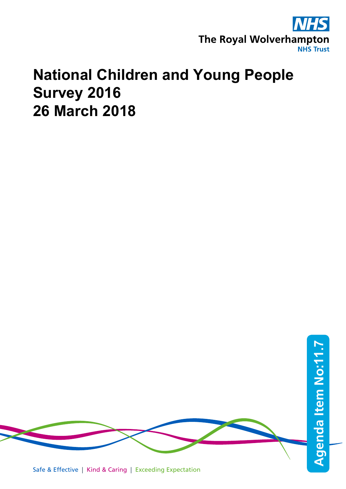

## **National Children and Young People Survey 2016 26 March 2018**

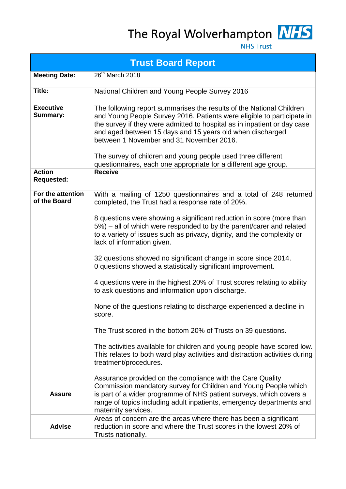# The Royal Wolverhampton NHS



**NHS Trust** 

|                                     | <b>Trust Board Report</b>                                                                                                                                                                                                                                                                                                                                                                                                                                              |
|-------------------------------------|------------------------------------------------------------------------------------------------------------------------------------------------------------------------------------------------------------------------------------------------------------------------------------------------------------------------------------------------------------------------------------------------------------------------------------------------------------------------|
| <b>Meeting Date:</b>                | 26 <sup>th</sup> March 2018                                                                                                                                                                                                                                                                                                                                                                                                                                            |
| Title:                              | National Children and Young People Survey 2016                                                                                                                                                                                                                                                                                                                                                                                                                         |
| <b>Executive</b><br><b>Summary:</b> | The following report summarises the results of the National Children<br>and Young People Survey 2016. Patients were eligible to participate in<br>the survey if they were admitted to hospital as in inpatient or day case<br>and aged between 15 days and 15 years old when discharged<br>between 1 November and 31 November 2016.<br>The survey of children and young people used three different<br>questionnaires, each one appropriate for a different age group. |
| <b>Action</b><br><b>Requested:</b>  | <b>Receive</b>                                                                                                                                                                                                                                                                                                                                                                                                                                                         |
| For the attention<br>of the Board   | With a mailing of 1250 questionnaires and a total of 248 returned<br>completed, the Trust had a response rate of 20%.                                                                                                                                                                                                                                                                                                                                                  |
|                                     | 8 questions were showing a significant reduction in score (more than<br>5%) – all of which were responded to by the parent/carer and related<br>to a variety of issues such as privacy, dignity, and the complexity or<br>lack of information given.                                                                                                                                                                                                                   |
|                                     | 32 questions showed no significant change in score since 2014.<br>0 questions showed a statistically significant improvement.                                                                                                                                                                                                                                                                                                                                          |
|                                     | 4 questions were in the highest 20% of Trust scores relating to ability<br>to ask questions and information upon discharge.                                                                                                                                                                                                                                                                                                                                            |
|                                     | None of the questions relating to discharge experienced a decline in<br>score.                                                                                                                                                                                                                                                                                                                                                                                         |
|                                     | The Trust scored in the bottom 20% of Trusts on 39 questions.                                                                                                                                                                                                                                                                                                                                                                                                          |
|                                     | The activities available for children and young people have scored low.<br>This relates to both ward play activities and distraction activities during<br>treatment/procedures.                                                                                                                                                                                                                                                                                        |
| <b>Assure</b>                       | Assurance provided on the compliance with the Care Quality<br>Commission mandatory survey for Children and Young People which<br>is part of a wider programme of NHS patient surveys, which covers a<br>range of topics including adult inpatients, emergency departments and<br>maternity services.                                                                                                                                                                   |
| <b>Advise</b>                       | Areas of concern are the areas where there has been a significant<br>reduction in score and where the Trust scores in the lowest 20% of<br>Trusts nationally.                                                                                                                                                                                                                                                                                                          |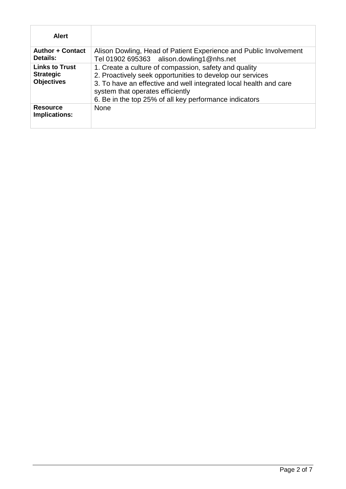| <b>Alert</b>                                                   |                                                                                                                                                                                                                                                                                       |
|----------------------------------------------------------------|---------------------------------------------------------------------------------------------------------------------------------------------------------------------------------------------------------------------------------------------------------------------------------------|
| <b>Author + Contact</b><br>Details:                            | Alison Dowling, Head of Patient Experience and Public Involvement<br>Tel 01902 695363 alison.dowling1@nhs.net                                                                                                                                                                         |
| <b>Links to Trust</b><br><b>Strategic</b><br><b>Objectives</b> | 1. Create a culture of compassion, safety and quality<br>2. Proactively seek opportunities to develop our services<br>3. To have an effective and well integrated local health and care<br>system that operates efficiently<br>6. Be in the top 25% of all key performance indicators |
| <b>Resource</b><br><b>Implications:</b>                        | <b>None</b>                                                                                                                                                                                                                                                                           |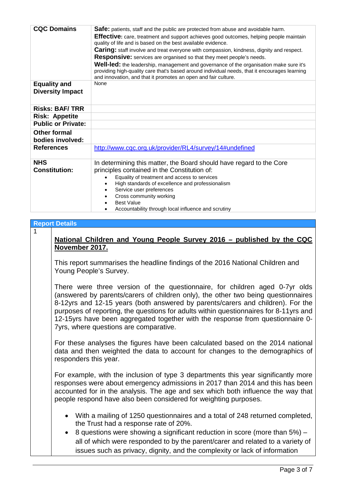| <b>CQC Domains</b>               | <b>Safe:</b> patients, staff and the public are protected from abuse and avoidable harm.<br><b>Effective:</b> care, treatment and support achieves good outcomes, helping people maintain<br>quality of life and is based on the best available evidence. |
|----------------------------------|-----------------------------------------------------------------------------------------------------------------------------------------------------------------------------------------------------------------------------------------------------------|
|                                  |                                                                                                                                                                                                                                                           |
|                                  | <b>Caring:</b> staff involve and treat everyone with compassion, kindness, dignity and respect.                                                                                                                                                           |
|                                  | <b>Responsive:</b> services are organised so that they meet people's needs.                                                                                                                                                                               |
|                                  | Well-led: the leadership, management and governance of the organisation make sure it's<br>providing high-quality care that's based around individual needs, that it encourages learning<br>and innovation, and that it promotes an open and fair culture. |
| <b>Equality and</b>              | None                                                                                                                                                                                                                                                      |
| <b>Diversity Impact</b>          |                                                                                                                                                                                                                                                           |
|                                  |                                                                                                                                                                                                                                                           |
| <b>Risks: BAF/TRR</b>            |                                                                                                                                                                                                                                                           |
| <b>Risk: Appetite</b>            |                                                                                                                                                                                                                                                           |
| <b>Public or Private:</b>        |                                                                                                                                                                                                                                                           |
| Other formal<br>bodies involved: |                                                                                                                                                                                                                                                           |
| <b>References</b>                | http://www.cqc.org.uk/provider/RL4/survey/14#undefined                                                                                                                                                                                                    |
| <b>NHS</b>                       | In determining this matter, the Board should have regard to the Core                                                                                                                                                                                      |
| <b>Constitution:</b>             | principles contained in the Constitution of:                                                                                                                                                                                                              |
|                                  | Equality of treatment and access to services                                                                                                                                                                                                              |
|                                  |                                                                                                                                                                                                                                                           |
|                                  | High standards of excellence and professionalism                                                                                                                                                                                                          |
|                                  | Service user preferences                                                                                                                                                                                                                                  |
|                                  | Cross community working                                                                                                                                                                                                                                   |
|                                  | <b>Best Value</b>                                                                                                                                                                                                                                         |
|                                  | Accountability through local influence and scrutiny                                                                                                                                                                                                       |

#### **Report Details**

1

#### **National Children and Young People Survey 2016 – published by the CQC November 2017.**

This report summarises the headline findings of the 2016 National Children and Young People's Survey.

There were three version of the questionnaire, for children aged 0-7yr olds (answered by parents/carers of children only), the other two being questionnaires 8-12yrs and 12-15 years (both answered by parents/carers and children). For the purposes of reporting, the questions for adults within questionnaires for 8-11yrs and 12-15yrs have been aggregated together with the response from questionnaire 0- 7yrs, where questions are comparative.

For these analyses the figures have been calculated based on the 2014 national data and then weighted the data to account for changes to the demographics of responders this year.

For example, with the inclusion of type 3 departments this year significantly more responses were about emergency admissions in 2017 than 2014 and this has been accounted for in the analysis. The age and sex which both influence the way that people respond have also been considered for weighting purposes.

- With a mailing of 1250 questionnaires and a total of 248 returned completed, the Trust had a response rate of 20%.
- 8 questions were showing a significant reduction in score (more than 5%) all of which were responded to by the parent/carer and related to a variety of issues such as privacy, dignity, and the complexity or lack of information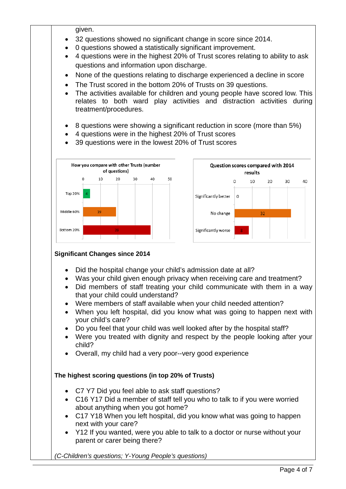given.

- 32 questions showed no significant change in score since 2014.
- 0 questions showed a statistically significant improvement.
- 4 questions were in the highest 20% of Trust scores relating to ability to ask questions and information upon discharge.
- None of the questions relating to discharge experienced a decline in score
- The Trust scored in the bottom 20% of Trusts on 39 questions.
- The activities available for children and young people have scored low. This relates to both ward play activities and distraction activities during treatment/procedures.
- 8 questions were showing a significant reduction in score (more than 5%)
- 4 questions were in the highest 20% of Trust scores
- 39 questions were in the lowest 20% of Trust scores



#### **Significant Changes since 2014**

- Did the hospital change your child's admission date at all?
- Was your child given enough privacy when receiving care and treatment?
- Did members of staff treating your child communicate with them in a way that your child could understand?
- Were members of staff available when your child needed attention?
- When you left hospital, did you know what was going to happen next with your child's care?
- Do you feel that your child was well looked after by the hospital staff?
- Were you treated with dignity and respect by the people looking after your child?
- Overall, my child had a very poor--very good experience

#### **The highest scoring questions (in top 20% of Trusts)**

- C7 Y7 Did you feel able to ask staff questions?
- C16 Y17 Did a member of staff tell you who to talk to if you were worried about anything when you got home?
- C17 Y18 When you left hospital, did you know what was going to happen next with your care?
- Y12 If you wanted, were you able to talk to a doctor or nurse without your parent or carer being there?

*(C-Children's questions; Y-Young People's questions)*

40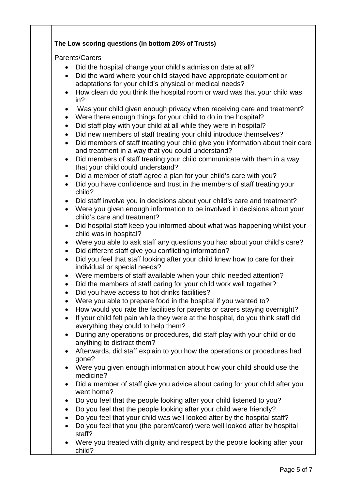#### **The Low scoring questions (in bottom 20% of Trusts)**

#### Parents/Carers

- Did the hospital change your child's admission date at all?
- Did the ward where your child stayed have appropriate equipment or adaptations for your child's physical or medical needs?
- How clean do you think the hospital room or ward was that your child was in?
- Was your child given enough privacy when receiving care and treatment?
- Were there enough things for your child to do in the hospital?
- Did staff play with your child at all while they were in hospital?
- Did new members of staff treating your child introduce themselves?
- Did members of staff treating your child give you information about their care and treatment in a way that you could understand?
- Did members of staff treating your child communicate with them in a way that your child could understand?
- Did a member of staff agree a plan for your child's care with you?
- Did you have confidence and trust in the members of staff treating your child?
- Did staff involve you in decisions about your child's care and treatment?
- Were you given enough information to be involved in decisions about your child's care and treatment?
- Did hospital staff keep you informed about what was happening whilst your child was in hospital?
- Were you able to ask staff any questions you had about your child's care?
- Did different staff give you conflicting information?
- Did you feel that staff looking after your child knew how to care for their individual or special needs?
- Were members of staff available when your child needed attention?
- Did the members of staff caring for your child work well together?
- Did you have access to hot drinks facilities?
- Were you able to prepare food in the hospital if you wanted to?
- How would you rate the facilities for parents or carers staying overnight?
- If your child felt pain while they were at the hospital, do you think staff did everything they could to help them?
- During any operations or procedures, did staff play with your child or do anything to distract them?
- Afterwards, did staff explain to you how the operations or procedures had gone?
- Were you given enough information about how your child should use the medicine?
- Did a member of staff give you advice about caring for your child after you went home?
- Do you feel that the people looking after your child listened to you?
- Do you feel that the people looking after your child were friendly?
- Do you feel that your child was well looked after by the hospital staff?
- Do you feel that you (the parent/carer) were well looked after by hospital staff?
- Were you treated with dignity and respect by the people looking after your child?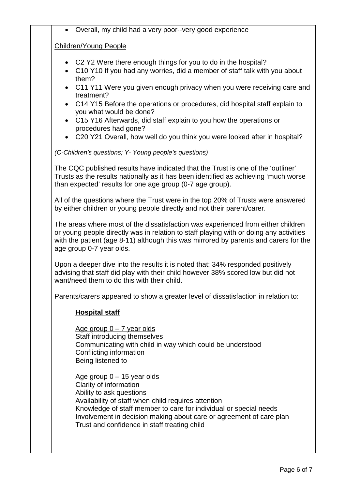• Overall, my child had a very poor--very good experience

#### Children/Young People

- C2 Y2 Were there enough things for you to do in the hospital?
- C10 Y10 If you had any worries, did a member of staff talk with you about them?
- C11 Y11 Were you given enough privacy when you were receiving care and treatment?
- C14 Y15 Before the operations or procedures, did hospital staff explain to you what would be done?
- C15 Y16 Afterwards, did staff explain to you how the operations or procedures had gone?
- C20 Y21 Overall, how well do you think you were looked after in hospital?

*(C-Children's questions; Y- Young people's questions)*

The CQC published results have indicated that the Trust is one of the 'outliner' Trusts as the results nationally as it has been identified as achieving 'much worse than expected' results for one age group (0-7 age group).

All of the questions where the Trust were in the top 20% of Trusts were answered by either children or young people directly and not their parent/carer.

The areas where most of the dissatisfaction was experienced from either children or young people directly was in relation to staff playing with or doing any activities with the patient (age 8-11) although this was mirrored by parents and carers for the age group 0-7 year olds.

Upon a deeper dive into the results it is noted that: 34% responded positively advising that staff did play with their child however 38% scored low but did not want/need them to do this with their child.

Parents/carers appeared to show a greater level of dissatisfaction in relation to:

#### **Hospital staff**

Age group  $0 - 7$  year olds Staff introducing themselves Communicating with child in way which could be understood Conflicting information Being listened to

Age group  $0 - 15$  year olds Clarity of information Ability to ask questions Availability of staff when child requires attention Knowledge of staff member to care for individual or special needs Involvement in decision making about care or agreement of care plan Trust and confidence in staff treating child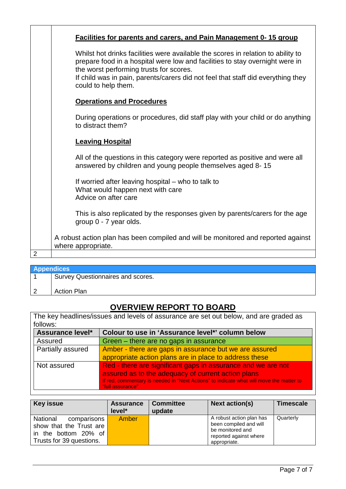|                | <b>Facilities for parents and carers, and Pain Management 0-15 group</b>                                                                                                                                                                                                                                               |  |  |  |  |  |
|----------------|------------------------------------------------------------------------------------------------------------------------------------------------------------------------------------------------------------------------------------------------------------------------------------------------------------------------|--|--|--|--|--|
|                | Whilst hot drinks facilities were available the scores in relation to ability to<br>prepare food in a hospital were low and facilities to stay overnight were in<br>the worst performing trusts for scores.<br>If child was in pain, parents/carers did not feel that staff did everything they<br>could to help them. |  |  |  |  |  |
|                | <b>Operations and Procedures</b>                                                                                                                                                                                                                                                                                       |  |  |  |  |  |
|                | During operations or procedures, did staff play with your child or do anything<br>to distract them?                                                                                                                                                                                                                    |  |  |  |  |  |
|                | <b>Leaving Hospital</b>                                                                                                                                                                                                                                                                                                |  |  |  |  |  |
|                | All of the questions in this category were reported as positive and were all<br>answered by children and young people themselves aged 8-15                                                                                                                                                                             |  |  |  |  |  |
|                | If worried after leaving hospital – who to talk to<br>What would happen next with care<br>Advice on after care                                                                                                                                                                                                         |  |  |  |  |  |
|                | This is also replicated by the responses given by parents/carers for the age<br>group 0 - 7 year olds.                                                                                                                                                                                                                 |  |  |  |  |  |
|                | A robust action plan has been compiled and will be monitored and reported against<br>where appropriate.                                                                                                                                                                                                                |  |  |  |  |  |
| $\overline{2}$ |                                                                                                                                                                                                                                                                                                                        |  |  |  |  |  |

| <b>Appendices</b>                 |  |  |  |  |  |
|-----------------------------------|--|--|--|--|--|
| Survey Questionnaires and scores. |  |  |  |  |  |
|                                   |  |  |  |  |  |
| <b>Action Plan</b>                |  |  |  |  |  |

### **OVERVIEW REPORT TO BOARD**

| The key headlines/issues and levels of assurance are set out below, and are graded as |                                                                                                             |  |  |  |  |  |  |
|---------------------------------------------------------------------------------------|-------------------------------------------------------------------------------------------------------------|--|--|--|--|--|--|
| follows:                                                                              |                                                                                                             |  |  |  |  |  |  |
| <b>Assurance level*</b>                                                               | Colour to use in 'Assurance level*' column below                                                            |  |  |  |  |  |  |
| Assured                                                                               | Green – there are no gaps in assurance                                                                      |  |  |  |  |  |  |
| Partially assured                                                                     | Amber - there are gaps in assurance but we are assured                                                      |  |  |  |  |  |  |
|                                                                                       | appropriate action plans are in place to address these                                                      |  |  |  |  |  |  |
| Not assured                                                                           | Red - there are significant gaps in assurance and we are not                                                |  |  |  |  |  |  |
|                                                                                       | assured as to the adequacy of current action plans                                                          |  |  |  |  |  |  |
|                                                                                       | If red, commentary is needed in "Next Actions" to indicate what will move the matter to<br>"full assurance" |  |  |  |  |  |  |

| <b>Key issue</b>                                                                                       | <b>Assurance</b><br>level* | <b>Committee</b><br>update | <b>Next action(s)</b>                                                                                            | <b>Timescale</b> |
|--------------------------------------------------------------------------------------------------------|----------------------------|----------------------------|------------------------------------------------------------------------------------------------------------------|------------------|
| National<br>comparisons<br>show that the Trust are<br>in the bottom 20% of<br>Trusts for 39 questions. | Amber                      |                            | A robust action plan has<br>been compiled and will<br>be monitored and<br>reported against where<br>appropriate. | Quarterly        |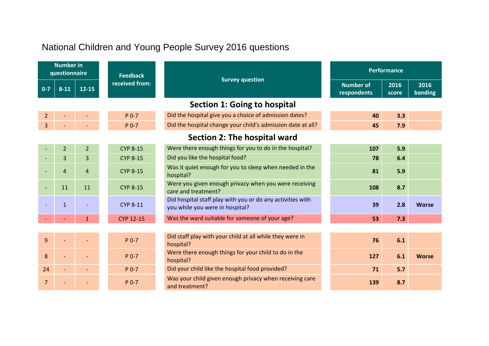### National Children and Young People Survey 2016 questions

| <b>Number in</b><br>questionnaire |                | <b>Feedback</b> | <b>Survey question</b> |                                                                                               | <b>Performance</b>              |               |                 |
|-----------------------------------|----------------|-----------------|------------------------|-----------------------------------------------------------------------------------------------|---------------------------------|---------------|-----------------|
| $0 - 7$                           | $8 - 11$       | $12 - 15$       | received from:         |                                                                                               | <b>Number of</b><br>respondents | 2016<br>score | 2016<br>banding |
|                                   |                |                 |                        |                                                                                               |                                 |               |                 |
| $\overline{2}$                    |                |                 | $P$ 0-7                | Did the hospital give you a choice of admission dates?                                        | 40                              | 3.3           |                 |
| 3                                 |                |                 | P 0-7                  | Did the hospital change your child's admission date at all?                                   | 45                              | 7.9           |                 |
|                                   |                |                 |                        | Section 2: The hospital ward                                                                  |                                 |               |                 |
|                                   | $\overline{2}$ | $\overline{2}$  | <b>CYP 8-15</b>        | Were there enough things for you to do in the hospital?                                       | 107                             | 5.9           |                 |
|                                   | 3              | 3               | <b>CYP 8-15</b>        | Did you like the hospital food?                                                               | 78                              | 6.4           |                 |
|                                   | $\overline{4}$ | $\overline{4}$  | <b>CYP 8-15</b>        | Was it quiet enough for you to sleep when needed in the<br>hospital?                          | 81                              | 5.9           |                 |
|                                   | 11             | 11              | <b>CYP 8-15</b>        | Were you given enough privacy when you were receiving<br>care and treatment?                  | 108                             | 8.7           |                 |
|                                   | $\mathbf{1}$   |                 | <b>CYP 8-11</b>        | Did hospital staff play with you or do any activities with<br>you while you were in hospital? | 39                              | 2.8           | <b>Worse</b>    |
|                                   |                | 1               | <b>CYP 12-15</b>       | Was the ward suitable for someone of your age?                                                | 53                              | 7.3           |                 |
|                                   |                |                 |                        |                                                                                               |                                 |               |                 |
| 9                                 |                |                 | $P$ 0-7                | Did staff play with your child at all while they were in<br>hospital?                         | 76                              | 6.1           |                 |
| 8                                 |                |                 | $P$ 0-7                | Were there enough things for your child to do in the<br>hospital?                             | 127                             | 6.1           | <b>Worse</b>    |
| 24                                |                |                 | $P$ 0-7                | Did your child like the hospital food provided?                                               | 71                              | 5.7           |                 |
| $\overline{7}$                    |                |                 | $P$ 0-7                | Was your child given enough privacy when receiving care<br>and treatment?                     | 139                             | 8.7           |                 |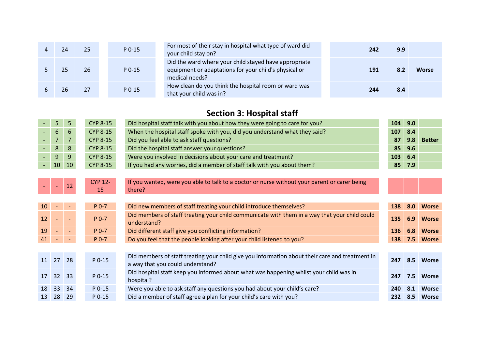|  | 25 | $P$ 0-15 | For most of their stay in hospital what type of ward did<br>your child stay on?                                                  | 242 | 9.9 |              |
|--|----|----------|----------------------------------------------------------------------------------------------------------------------------------|-----|-----|--------------|
|  | 26 | $P_0-15$ | Did the ward where your child stayed have appropriate<br>equipment or adaptations for your child's physical or<br>medical needs? | 191 |     | <b>Worse</b> |
|  | 27 | P 0-15   | How clean do you think the hospital room or ward was<br>that your child was in?                                                  | 244 | 8.4 |              |

### **Section 3: Hospital staff**

| $6\phantom{1}$<br><b>CYP 8-15</b><br>6              | When the hospital staff spoke with you, did you understand what they said?<br>107                      |     |               |
|-----------------------------------------------------|--------------------------------------------------------------------------------------------------------|-----|---------------|
|                                                     |                                                                                                        | 8.4 |               |
| $\overline{7}$<br>$\overline{7}$<br><b>CYP 8-15</b> | Did you feel able to ask staff questions?<br>87                                                        | 9.8 | <b>Better</b> |
| 8<br>8<br><b>CYP 8-15</b>                           | Did the hospital staff answer your questions?<br>85                                                    | 9.6 |               |
| 9<br><b>CYP 8-15</b><br>9                           | Were you involved in decisions about your care and treatment?<br>103                                   | 6.4 |               |
| <b>CYP 8-15</b><br>10<br>10                         | If you had any worries, did a member of staff talk with you about them?<br>85                          | 7.9 |               |
|                                                     |                                                                                                        |     |               |
| <b>CYP 12-</b><br>12<br>$\blacksquare$              | If you wanted, were you able to talk to a doctor or nurse without your parent or carer being           |     |               |
| 15<br>there?                                        |                                                                                                        |     |               |
|                                                     |                                                                                                        |     |               |
| $P$ 0-7<br>10 <sup>°</sup>                          | Did new members of staff treating your child introduce themselves?<br>138                              | 8.0 | <b>Worse</b>  |
| 12<br>$P$ 0-7                                       | Did members of staff treating your child communicate with them in a way that your child could<br>135   | 6.9 | <b>Worse</b>  |
| understand?                                         |                                                                                                        |     |               |
| 19<br>$P0-7$                                        | Did different staff give you conflicting information?<br>136                                           | 6.8 | <b>Worse</b>  |
| 41<br>$P0-7$                                        | Do you feel that the people looking after your child listened to you?<br>138                           | 7.5 | <b>Worse</b>  |
|                                                     |                                                                                                        |     |               |
| 27<br>P 0-15<br>11<br>28                            | Did members of staff treating your child give you information about their care and treatment in<br>247 | 8.5 | <b>Worse</b>  |
|                                                     | a way that you could understand?                                                                       |     |               |
| 17<br>32<br>33<br>$P$ 0-15<br>hospital?             | Did hospital staff keep you informed about what was happening whilst your child was in<br>247          | 7.5 | <b>Worse</b>  |
| 33<br>P 0-15<br>18<br>34                            | Were you able to ask staff any questions you had about your child's care?<br>240                       | 8.1 | <b>Worse</b>  |
| 28<br>13<br>29<br>$P$ 0-15                          | Did a member of staff agree a plan for your child's care with you?<br>232 <sub>1</sub>                 |     | 8.5 Worse     |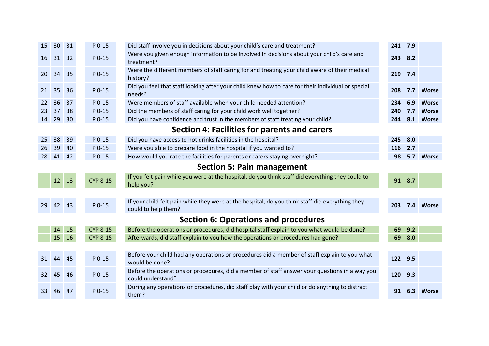| 15 | 30 <sup>°</sup> | 31            | P 0-15          | Did staff involve you in decisions about your child's care and treatment?                                              | 241     | 7.9    |              |
|----|-----------------|---------------|-----------------|------------------------------------------------------------------------------------------------------------------------|---------|--------|--------------|
| 16 | 31 32           |               | P 0-15          | Were you given enough information to be involved in decisions about your child's care and<br>treatment?                | 243     | 8.2    |              |
| 20 | 34              | 35            | P 0-15          | Were the different members of staff caring for and treating your child aware of their medical<br>history?              | 219 7.4 |        |              |
| 21 | 35              | 36            | P 0-15          | Did you feel that staff looking after your child knew how to care for their individual or special<br>needs?            | 208     | 7.7    | <b>Worse</b> |
| 22 | 36              | 37            | P 0-15          | Were members of staff available when your child needed attention?                                                      | 234     | 6.9    | <b>Worse</b> |
| 23 | 37              | 38            | P 0-15          | Did the members of staff caring for your child work well together?                                                     | 240     | 7.7    | <b>Worse</b> |
| 14 | 29              | 30            | $P$ 0-15        | Did you have confidence and trust in the members of staff treating your child?                                         | 244     | 8.1    | <b>Worse</b> |
|    |                 |               |                 | Section 4: Facilities for parents and carers                                                                           |         |        |              |
| 25 | 38              | 39            | P 0-15          | Did you have access to hot drinks facilities in the hospital?                                                          | 245     | 8.0    |              |
| 26 | 39              | 40            | $P$ 0-15        | Were you able to prepare food in the hospital if you wanted to?                                                        | 116     | 2.7    |              |
| 28 | 41 42           |               | $P$ 0-15        | How would you rate the facilities for parents or carers staying overnight?                                             | 98      |        | 5.7 Worse    |
|    |                 |               |                 | <b>Section 5: Pain management</b>                                                                                      |         |        |              |
|    | 12              | 13            | <b>CYP 8-15</b> | If you felt pain while you were at the hospital, do you think staff did everything they could to<br>help you?          |         | 91 8.7 |              |
|    |                 |               |                 |                                                                                                                        |         |        |              |
| 29 | 42 43           |               | P 0-15          | If your child felt pain while they were at the hospital, do you think staff did everything they<br>could to help them? | 203     |        | 7.4 Worse    |
|    |                 |               |                 | <b>Section 6: Operations and procedures</b>                                                                            |         |        |              |
|    | 14              | 15            | <b>CYP 8-15</b> | Before the operations or procedures, did hospital staff explain to you what would be done?                             | 69      | 9.2    |              |
|    | 15              | <sup>16</sup> | <b>CYP 8-15</b> | Afterwards, did staff explain to you how the operations or procedures had gone?                                        | 69      | 8.0    |              |
|    |                 |               |                 |                                                                                                                        |         |        |              |
| 31 | 44              | -45           | $P$ 0-15        | Before your child had any operations or procedures did a member of staff explain to you what<br>would be done?         | 122 9.5 |        |              |
| 32 | 45              | 46            | P 0-15          | Before the operations or procedures, did a member of staff answer your questions in a way you<br>could understand?     | 120     | 9.3    |              |
| 33 | 46              | 47            | P 0-15          | During any operations or procedures, did staff play with your child or do anything to distract<br>them?                | 91      | 6.3    | <b>Worse</b> |
|    |                 |               |                 |                                                                                                                        |         |        |              |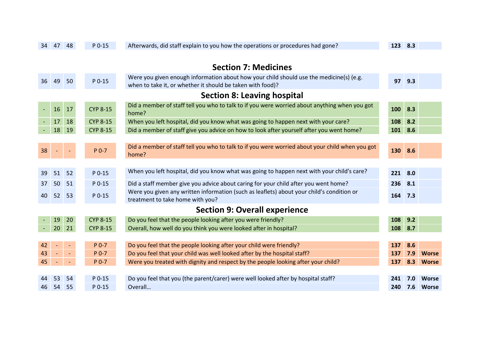| 34             | 47                                 | 48             | $P$ 0-15        | Afterwards, did staff explain to you how the operations or procedures had gone?                                                                       | 123 8.3 |     |              |  |  |  |  |
|----------------|------------------------------------|----------------|-----------------|-------------------------------------------------------------------------------------------------------------------------------------------------------|---------|-----|--------------|--|--|--|--|
|                |                                    |                |                 |                                                                                                                                                       |         |     |              |  |  |  |  |
|                |                                    |                |                 | <b>Section 7: Medicines</b>                                                                                                                           |         |     |              |  |  |  |  |
| 36             | 49                                 | 50             | P 0-15          | Were you given enough information about how your child should use the medicine(s) (e.g.<br>when to take it, or whether it should be taken with food)? | 97      | 9.3 |              |  |  |  |  |
|                | <b>Section 8: Leaving hospital</b> |                |                 |                                                                                                                                                       |         |     |              |  |  |  |  |
| $\blacksquare$ | 16                                 | 17             | <b>CYP 8-15</b> | Did a member of staff tell you who to talk to if you were worried about anything when you got<br>home?                                                | 100     | 8.3 |              |  |  |  |  |
|                | 17                                 | 18             | <b>CYP 8-15</b> | When you left hospital, did you know what was going to happen next with your care?                                                                    | 108     | 8.2 |              |  |  |  |  |
|                | 18                                 | 19             | <b>CYP 8-15</b> | Did a member of staff give you advice on how to look after yourself after you went home?                                                              | 101     | 8.6 |              |  |  |  |  |
|                |                                    |                |                 |                                                                                                                                                       |         |     |              |  |  |  |  |
| 38             |                                    |                | P 0-7           | Did a member of staff tell you who to talk to if you were worried about your child when you got<br>home?                                              | 130     | 8.6 |              |  |  |  |  |
|                |                                    |                |                 |                                                                                                                                                       |         |     |              |  |  |  |  |
| 39             | 51                                 | 52             | P 0-15          | When you left hospital, did you know what was going to happen next with your child's care?                                                            | 221     | 8.0 |              |  |  |  |  |
| 37             | 50                                 | 51             | $P$ 0-15        | Did a staff member give you advice about caring for your child after you went home?                                                                   | 236     | 8.1 |              |  |  |  |  |
| 40             | 52                                 | 53             | P 0-15          | Were you given any written information (such as leaflets) about your child's condition or<br>treatment to take home with you?                         | 164     | 7.3 |              |  |  |  |  |
|                |                                    |                |                 | <b>Section 9: Overall experience</b>                                                                                                                  |         |     |              |  |  |  |  |
|                | 19                                 | 20             | <b>CYP 8-15</b> | Do you feel that the people looking after you were friendly?                                                                                          | 108     | 9.2 |              |  |  |  |  |
|                | 20                                 | 21             | <b>CYP 8-15</b> | Overall, how well do you think you were looked after in hospital?                                                                                     | 108     | 8.7 |              |  |  |  |  |
|                |                                    |                |                 |                                                                                                                                                       |         |     |              |  |  |  |  |
| 42             |                                    |                | $P$ 0-7         | Do you feel that the people looking after your child were friendly?                                                                                   | 137     | 8.6 |              |  |  |  |  |
| 43             |                                    | $\blacksquare$ | P 0-7           | Do you feel that your child was well looked after by the hospital staff?                                                                              | 137     | 7.9 | <b>Worse</b> |  |  |  |  |
| 45             | $\overline{\phantom{a}}$           |                | P 0-7           | Were you treated with dignity and respect by the people looking after your child?                                                                     | 137     | 8.3 | <b>Worse</b> |  |  |  |  |
|                |                                    |                |                 |                                                                                                                                                       |         |     |              |  |  |  |  |
|                | 53                                 | 54             | P 0-15          | Do you feel that you (the parent/carer) were well looked after by hospital staff?                                                                     | 241     | 7.0 | <b>Worse</b> |  |  |  |  |
| 46             | 54                                 | 55             | P 0-15          | Overall                                                                                                                                               | 240     | 7.6 | <b>Worse</b> |  |  |  |  |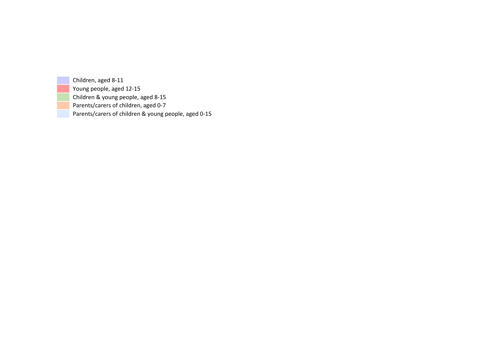Children, aged 8-11 Young people, aged 12-15 Children & young people, aged 8-15 Parents/carers of children, aged 0-7 Parents/carers of children & young people, aged 0-15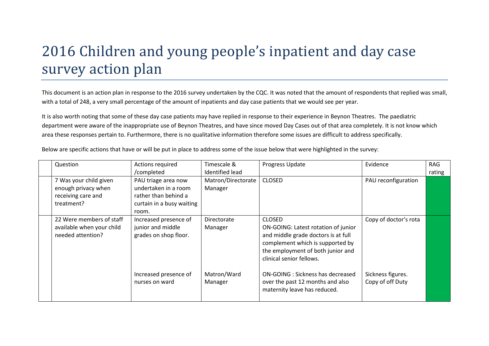# 2016 Children and young people's inpatient and day case survey action plan

This document is an action plan in response to the 2016 survey undertaken by the CQC. It was noted that the amount of respondents that replied was small, with a total of 248, a very small percentage of the amount of inpatients and day case patients that we would see per year.

It is also worth noting that some of these day case patients may have replied in response to their experience in Beynon Theatres. The paediatric department were aware of the inappropriate use of Beynon Theatres, and have since moved Day Cases out of that area completely. It is not know which area these responses pertain to. Furthermore, there is no qualitative information therefore some issues are difficult to address specifically.

| Question                                       | Actions required                           | Timescale &            | Progress Update                                                                                                                                                                 | Evidence                              | RAG    |
|------------------------------------------------|--------------------------------------------|------------------------|---------------------------------------------------------------------------------------------------------------------------------------------------------------------------------|---------------------------------------|--------|
|                                                | /completed                                 | Identified lead        |                                                                                                                                                                                 |                                       | rating |
| 7 Was your child given                         | PAU triage area now                        | Matron/Directorate     | <b>CLOSED</b>                                                                                                                                                                   | PAU reconfiguration                   |        |
| enough privacy when                            | undertaken in a room                       | Manager                |                                                                                                                                                                                 |                                       |        |
| receiving care and                             | rather than behind a                       |                        |                                                                                                                                                                                 |                                       |        |
| treatment?                                     | curtain in a busy waiting                  |                        |                                                                                                                                                                                 |                                       |        |
|                                                | room.                                      |                        |                                                                                                                                                                                 |                                       |        |
| 22 Were members of staff                       | Increased presence of                      | Directorate            | <b>CLOSED</b>                                                                                                                                                                   | Copy of doctor's rota                 |        |
| available when your child<br>needed attention? | junior and middle<br>grades on shop floor. | Manager                | ON-GOING: Latest rotation of junior<br>and middle grade doctors is at full<br>complement which is supported by<br>the employment of both junior and<br>clinical senior fellows. |                                       |        |
|                                                | Increased presence of<br>nurses on ward    | Matron/Ward<br>Manager | <b>ON-GOING: Sickness has decreased</b><br>over the past 12 months and also<br>maternity leave has reduced.                                                                     | Sickness figures.<br>Copy of off Duty |        |

Below are specific actions that have or will be put in place to address some of the issue below that were highlighted in the survey: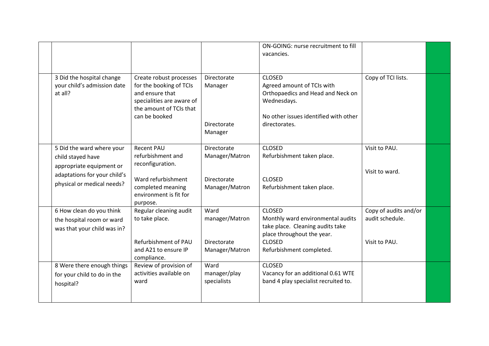|                                                                                                                                          |                                                                                                                                                |                                                                              | ON-GOING: nurse recruitment to fill<br>vacancies.                                                                                                                 |                                                           |  |
|------------------------------------------------------------------------------------------------------------------------------------------|------------------------------------------------------------------------------------------------------------------------------------------------|------------------------------------------------------------------------------|-------------------------------------------------------------------------------------------------------------------------------------------------------------------|-----------------------------------------------------------|--|
| 3 Did the hospital change<br>your child's admission date<br>at all?                                                                      | Create robust processes<br>for the booking of TCIs<br>and ensure that<br>specialities are aware of<br>the amount of TCIs that<br>can be booked | Directorate<br>Manager<br><b>Directorate</b><br>Manager                      | <b>CLOSED</b><br>Agreed amount of TCIs with<br>Orthopaedics and Head and Neck on<br>Wednesdays.<br>No other issues identified with other<br>directorates.         | Copy of TCI lists.                                        |  |
| 5 Did the ward where your<br>child stayed have<br>appropriate equipment or<br>adaptations for your child's<br>physical or medical needs? | <b>Recent PAU</b><br>refurbishment and<br>reconfiguration.<br>Ward refurbishment<br>completed meaning<br>environment is fit for<br>purpose.    | <b>Directorate</b><br>Manager/Matron<br><b>Directorate</b><br>Manager/Matron | <b>CLOSED</b><br>Refurbishment taken place.<br><b>CLOSED</b><br>Refurbishment taken place.                                                                        | Visit to PAU.<br>Visit to ward.                           |  |
| 6 How clean do you think<br>the hospital room or ward<br>was that your child was in?                                                     | Regular cleaning audit<br>to take place.<br>Refurbishment of PAU<br>and A21 to ensure IP<br>compliance.                                        | Ward<br>manager/Matron<br><b>Directorate</b><br>Manager/Matron               | <b>CLOSED</b><br>Monthly ward environmental audits<br>take place. Cleaning audits take<br>place throughout the year.<br><b>CLOSED</b><br>Refurbishment completed. | Copy of audits and/or<br>audit schedule.<br>Visit to PAU. |  |
| 8 Were there enough things<br>for your child to do in the<br>hospital?                                                                   | Review of provision of<br>activities available on<br>ward                                                                                      | Ward<br>manager/play<br>specialists                                          | <b>CLOSED</b><br>Vacancy for an additional 0.61 WTE<br>band 4 play specialist recruited to.                                                                       |                                                           |  |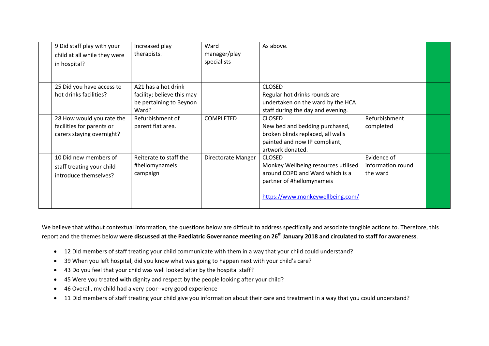| 9 Did staff play with your<br>child at all while they were<br>in hospital?          | Increased play<br>therapists.                                                         | Ward<br>manager/play<br>specialists | As above.                                                                                                                                                |                                              |  |
|-------------------------------------------------------------------------------------|---------------------------------------------------------------------------------------|-------------------------------------|----------------------------------------------------------------------------------------------------------------------------------------------------------|----------------------------------------------|--|
| 25 Did you have access to<br>hot drinks facilities?                                 | A21 has a hot drink<br>facility; believe this may<br>be pertaining to Beynon<br>Ward? |                                     | <b>CLOSED</b><br>Regular hot drinks rounds are<br>undertaken on the ward by the HCA<br>staff during the day and evening.                                 |                                              |  |
| 28 How would you rate the<br>facilities for parents or<br>carers staying overnight? | Refurbishment of<br>parent flat area.                                                 | <b>COMPLETED</b>                    | <b>CLOSED</b><br>New bed and bedding purchased,<br>broken blinds replaced, all walls<br>painted and now IP compliant,<br>artwork donated.                | Refurbishment<br>completed                   |  |
| 10 Did new members of<br>staff treating your child<br>introduce themselves?         | Reiterate to staff the<br>#hellomynameis<br>campaign                                  | Directorate Manger                  | <b>CLOSED</b><br>Monkey Wellbeing resources utilised<br>around COPD and Ward which is a<br>partner of #hellomynameis<br>https://www.monkeywellbeing.com/ | Evidence of<br>information round<br>the ward |  |

We believe that without contextual information, the questions below are difficult to address specifically and associate tangible actions to. Therefore, this report and the themes below **were discussed at the Paediatric Governance meeting on 26th January 2018 and circulated to staff for awareness**.

- 12 Did members of staff treating your child communicate with them in a way that your child could understand?
- 39 When you left hospital, did you know what was going to happen next with your child's care?
- 43 Do you feel that your child was well looked after by the hospital staff?
- 45 Were you treated with dignity and respect by the people looking after your child?
- 46 Overall, my child had a very poor--very good experience
- 11 Did members of staff treating your child give you information about their care and treatment in a way that you could understand?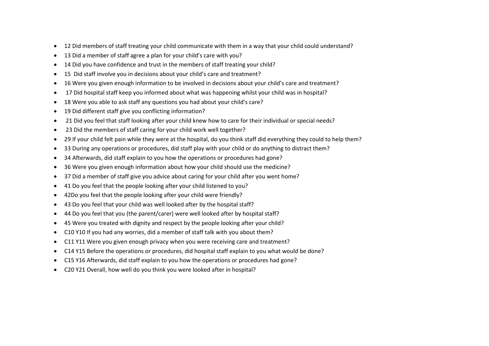- 12 Did members of staff treating your child communicate with them in a way that your child could understand?
- 13 Did a member of staff agree a plan for your child's care with you?
- 14 Did you have confidence and trust in the members of staff treating your child?
- 15 Did staff involve you in decisions about your child's care and treatment?
- 16 Were you given enough information to be involved in decisions about your child's care and treatment?
- 17 Did hospital staff keep you informed about what was happening whilst your child was in hospital?
- 18 Were you able to ask staff any questions you had about your child's care?
- 19 Did different staff give you conflicting information?
- 21 Did you feel that staff looking after your child knew how to care for their individual or special needs?
- 23 Did the members of staff caring for your child work well together?
- 29 If your child felt pain while they were at the hospital, do you think staff did everything they could to help them?
- 33 During any operations or procedures, did staff play with your child or do anything to distract them?
- 34 Afterwards, did staff explain to you how the operations or procedures had gone?
- 36 Were you given enough information about how your child should use the medicine?
- 37 Did a member of staff give you advice about caring for your child after you went home?
- 41 Do you feel that the people looking after your child listened to you?
- 42Do you feel that the people looking after your child were friendly?
- 43 Do you feel that your child was well looked after by the hospital staff?
- 44 Do you feel that you (the parent/carer) were well looked after by hospital staff?
- 45 Were you treated with dignity and respect by the people looking after your child?
- C10 Y10 If you had any worries, did a member of staff talk with you about them?
- C11 Y11 Were you given enough privacy when you were receiving care and treatment?
- C14 Y15 Before the operations or procedures, did hospital staff explain to you what would be done?
- C15 Y16 Afterwards, did staff explain to you how the operations or procedures had gone?
- C20 Y21 Overall, how well do you think you were looked after in hospital?